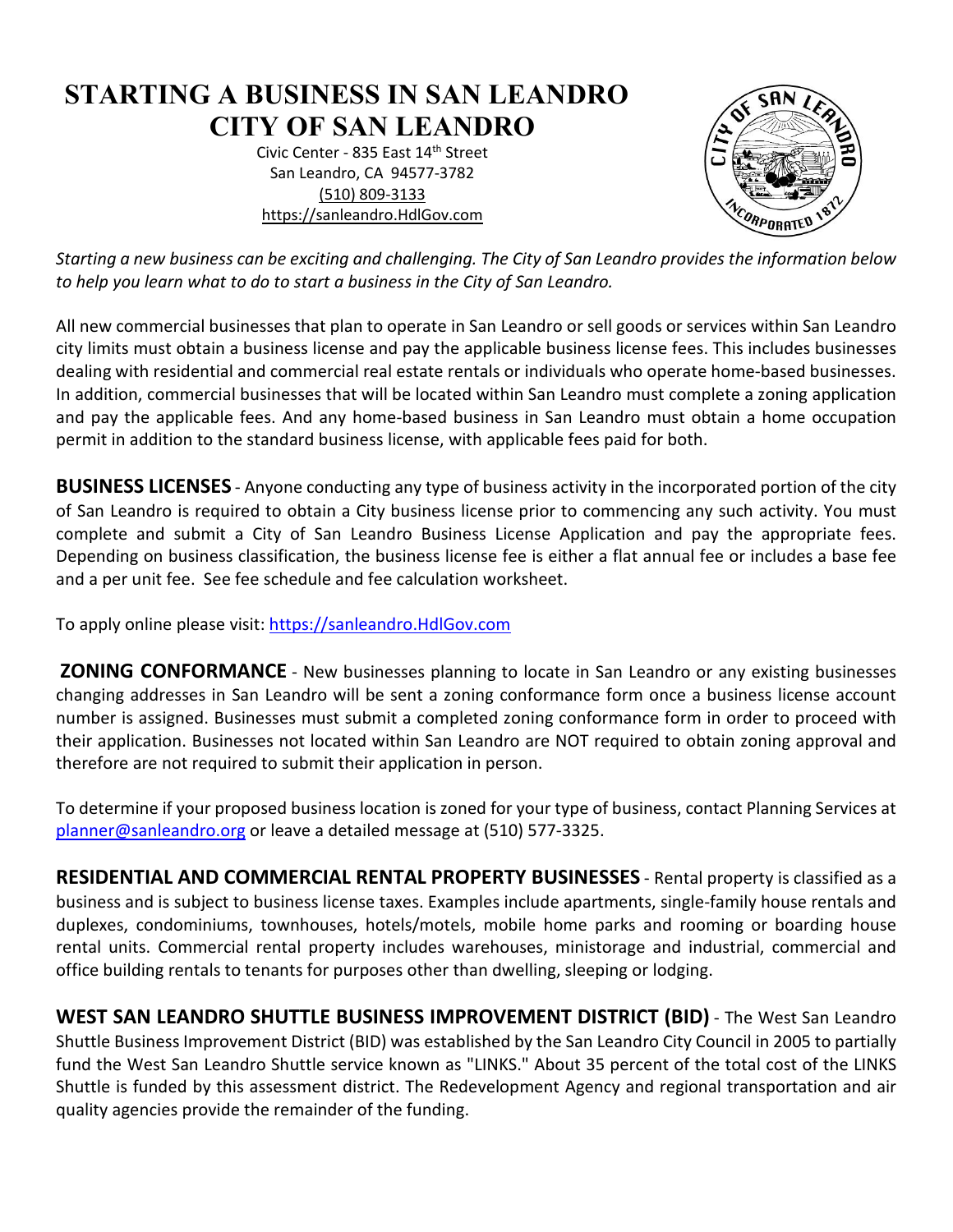# **STARTING A BUSINESS IN SAN LEANDRO CITY OF SAN LEANDRO**

Civic Center - 835 East 14<sup>th</sup> Street San Leandro, CA 94577-3782 (510) 809-3133 https://sanleandro.HdlGov.com



*Starting a new business can be exciting and challenging. The City of San Leandro provides the information below to help you learn what to do to start a business in the City of San Leandro.*

All new commercial businesses that plan to operate in San Leandro or sell goods or services within San Leandro city limits must obtain a business license and pay the applicable business license fees. This includes businesses dealing with residential and commercial real estate rentals or individuals who operate home-based businesses. In addition, commercial businesses that will be located within San Leandro must complete a zoning application and pay the applicable fees. And any home-based business in San Leandro must obtain a home occupation permit in addition to the standard business license, with applicable fees paid for both.

**BUSINESS LICENSES** - Anyone conducting any type of business activity in the incorporated portion of the city of San Leandro is required to obtain a City business license prior to commencing any such activity. You must complete and submit a City of San Leandro Business License Application and pay the appropriate fees. Depending on business classification, the business license fee is either a flat annual fee or includes a base fee and a per unit fee. See [fee schedule and fee calculation worksheet.](http://www.ci.san-leandro.ca.us/pdf/buslicfeecompched.pdf)

To apply online please visit: [https://sanleandro.HdlGov.com](https://sanleandro.hdlgov.com/)

**ZONING CONFORMANCE** - New businesses planning to locate in San Leandro or any existing businesses changing addresses in San Leandro will be sent a zoning conformance form once a business license account number is assigned. Businesses must submit a completed zoning conformance form in order to proceed with their application. Businesses not located within San Leandro are NOT required to obtain zoning approval and therefore are not required to submit their application in person.

To determine if your proposed business location is zoned for your type of business, contact Planning Services at [planner@sanleandro.org](mailto:planner@sanleandro.org) or leave a detailed message at (510) 577-3325.

**RESIDENTIAL AND COMMERCIAL RENTAL PROPERTY BUSINESSES** - Rental property is classified as a business and is subject to business license taxes. Examples include apartments, single-family house rentals and duplexes, condominiums, townhouses, hotels/motels, mobile home parks and rooming or boarding house rental units. Commercial rental property includes warehouses, ministorage and industrial, commercial and office building rentals to tenants for purposes other than dwelling, sleeping or lodging.

**WEST SAN LEANDRO SHUTTLE BUSINESS IMPROVEMENT DISTRICT (BID)** - The West San Leandro Shuttle Business Improvement District (BID) was established by the San Leandro City Council in 2005 to partially fund the West San Leandro Shuttle service known as "LINKS." About 35 percent of the total cost of the LINKS Shuttle is funded by this assessment district. The Redevelopment Agency and regional transportation and air quality agencies provide the remainder of the funding.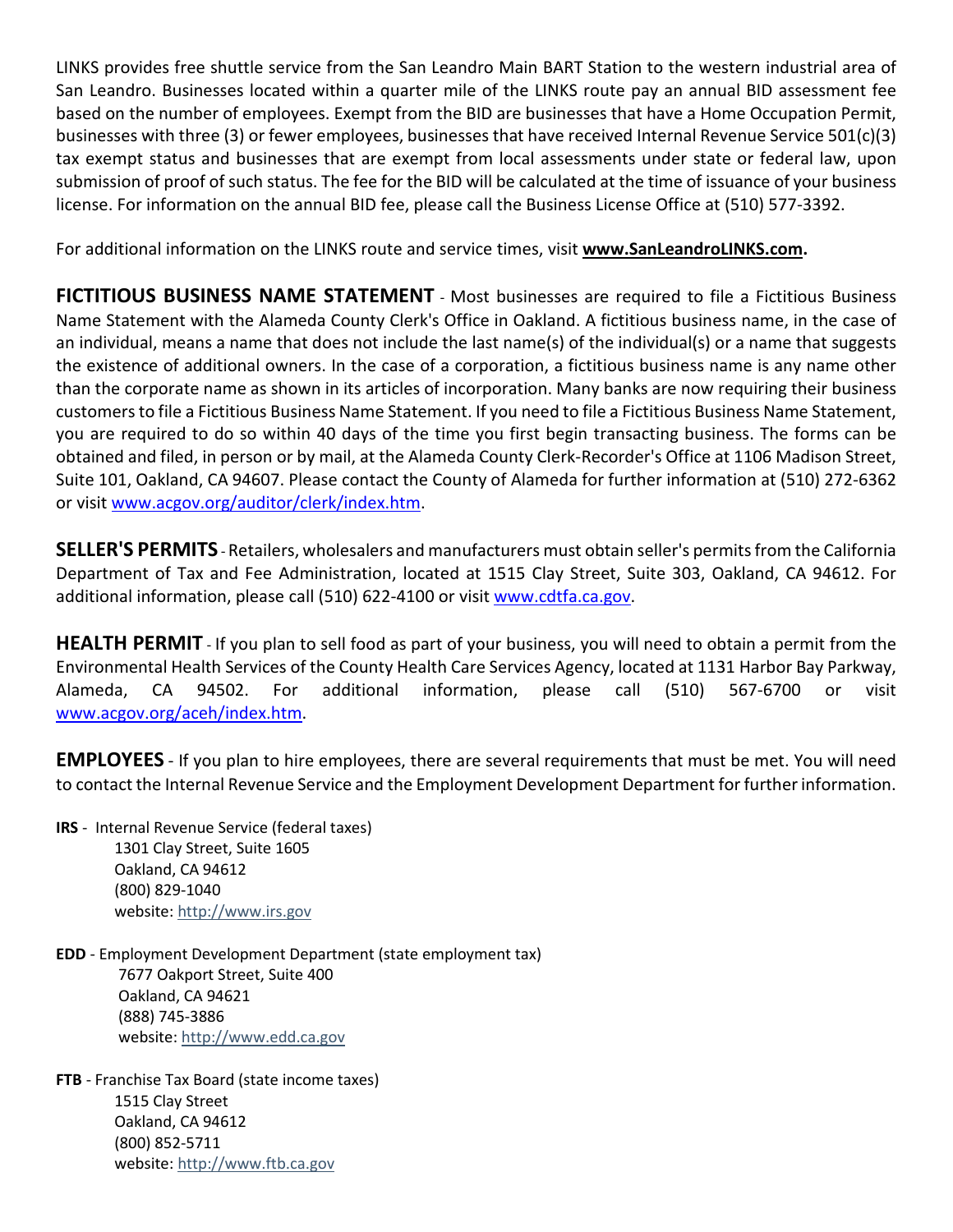LINKS provides free shuttle service from the San Leandro Main BART Station to the western industrial area of San Leandro. Businesses located within a quarter mile of the [LINKS route](http://www.ci.san-leandro.ca.us/pdf/LINKSRouteMap.pdf) pay an annual BID assessment fee based on the number of employees. Exempt from the BID are businesses that have a Home Occupation Permit, businesses with three (3) or fewer employees, businesses that have received Internal Revenue Service 501(c)(3) tax exempt status and businesses that are exempt from local assessments under state or federal law, upon submission of proof of such status. The fee for the BID will be calculated at the time of issuance of your business license. For information on the annual BID fee, please call the Business License Office at (510) 577-3392.

For additional information on the LINKS route and service times, visit **[www.SanLeandroLINKS.com.](http://www.sanleandrolinks.com/)**

**FICTITIOUS BUSINESS NAME STATEMENT** - Most businesses are required to file a Fictitious Business Name Statement with the Alameda County Clerk's Office in Oakland. A fictitious business name, in the case of an individual, means a name that does not include the last name(s) of the individual(s) or a name that suggests the existence of additional owners. In the case of a corporation, a fictitious business name is any name other than the corporate name as shown in its articles of incorporation. Many banks are now requiring their business customers to file a Fictitious Business Name Statement. If you need to file a Fictitious Business Name Statement, you are required to do so within 40 days of the time you first begin transacting business. The forms can be obtained and filed, in person or by mail, at the Alameda County Clerk-Recorder's Office at 1106 Madison Street, Suite 101, Oakland, CA 94607. Please contact the County of Alameda for further information at (510) 272-6362 or visit [www.acgov.org/auditor/clerk/index.htm.](http://www.acgov.org/auditor/clerk/index.htm)

**SELLER'S PERMITS** - Retailers, wholesalers and manufacturers must obtain seller's permits from the California Department of Tax and Fee Administration, located at 1515 Clay Street, Suite 303, Oakland, CA 94612. For additional information, please call (510) 622-4100 or visit [www.cdtfa.ca.gov.](http://www.cdtfa.ca.gov/)

**HEALTH PERMIT** - If you plan to sell food as part of your business, you will need to obtain a permit from the Environmental Health Services of the County Health Care Services Agency, located at 1131 Harbor Bay Parkway, Alameda, CA 94502. For additional information, please call (510) 567-6700 or visit [www.acgov.org/aceh/index.htm.](http://www.acgov.org/aceh/index.htm)

**EMPLOYEES** - If you plan to hire employees, there are several requirements that must be met. You will need to contact the Internal Revenue Service and the Employment Development Department for further information.

- **IRS** Internal Revenue Service (federal taxes) 1301 Clay Street, Suite 1605 Oakland, CA 94612 (800) 829-1040 website: [http://www.irs.gov](http://www.irs.gov/)
- **EDD** Employment Development Department (state employment tax) 7677 Oakport Street, Suite 400 Oakland, CA 94621 (888) 745-3886 website[: http://www.edd.ca.gov](http://www.edd.ca.gov/)
- **FTB** Franchise Tax Board (state income taxes) 1515 Clay Street Oakland, CA 94612 (800) 852-5711 website: [http://www.ftb.ca.gov](http://www.ftb.ca.gov/)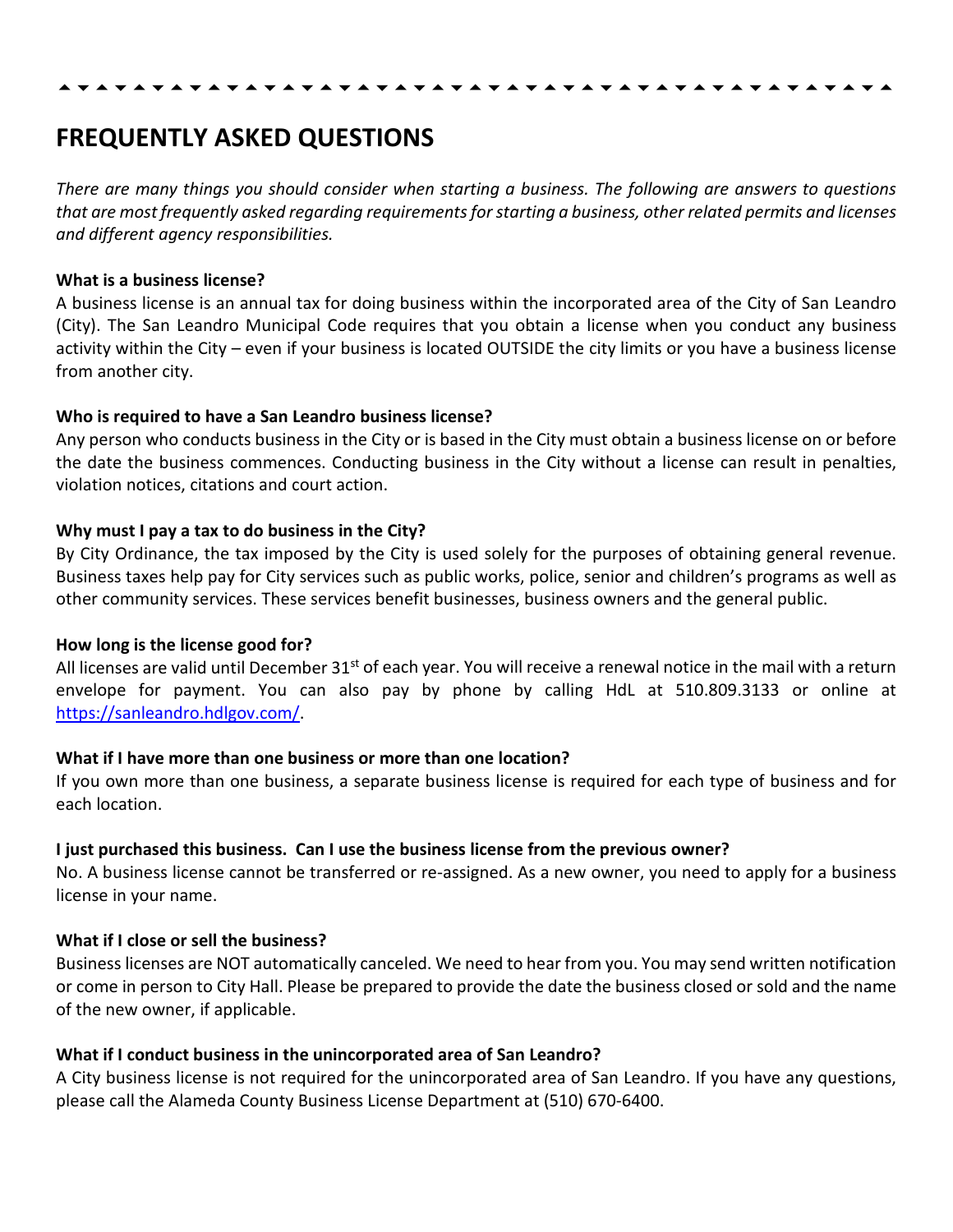## **FREQUENTLY ASKED QUESTIONS**

*There are many things you should consider when starting a business. The following are answers to questions that are most frequently asked regarding requirements for starting a business, other related permits and licenses and different agency responsibilities.*

## **What is a business license?**

A business license is an annual tax for doing business within the incorporated area of the City of San Leandro (City). The San Leandro Municipal Code requires that you obtain a license when you conduct any business activity within the City – even if your business is located OUTSIDE the city limits or you have a business license from another city.

## **Who is required to have a San Leandro business license?**

Any person who conducts business in the City or is based in the City must obtain a business license on or before the date the business commences. Conducting business in the City without a license can result in penalties, violation notices, citations and court action.

## **Why must I pay a tax to do business in the City?**

By City Ordinance, the tax imposed by the City is used solely for the purposes of obtaining general revenue. Business taxes help pay for City services such as public works, police, senior and children's programs as well as other community services. These services benefit businesses, business owners and the general public.

#### **How long is the license good for?**

All licenses are valid until December 31<sup>st</sup> of each year. You will receive a renewal notice in the mail with a return envelope for payment. You can also pay by phone by calling HdL at 510.809.3133 or online at [https://sanleandro.hdlgov.com/.](https://sanleandro.hdlgov.com/)

## **What if I have more than one business or more than one location?**

If you own more than one business, a separate business license is required for each type of business and for each location.

## **I just purchased this business. Can I use the business license from the previous owner?**

No. A business license cannot be transferred or re-assigned. As a new owner, you need to apply for a business license in your name.

## **What if I close or sell the business?**

Business licenses are NOT automatically canceled. We need to hear from you. You may send written notification or come in person to City Hall. Please be prepared to provide the date the business closed or sold and the name of the new owner, if applicable.

## **What if I conduct business in the unincorporated area of San Leandro?**

A City business license is not required for the unincorporated area of San Leandro. If you have any questions, please call the Alameda County Business License Department at (510) 670-6400.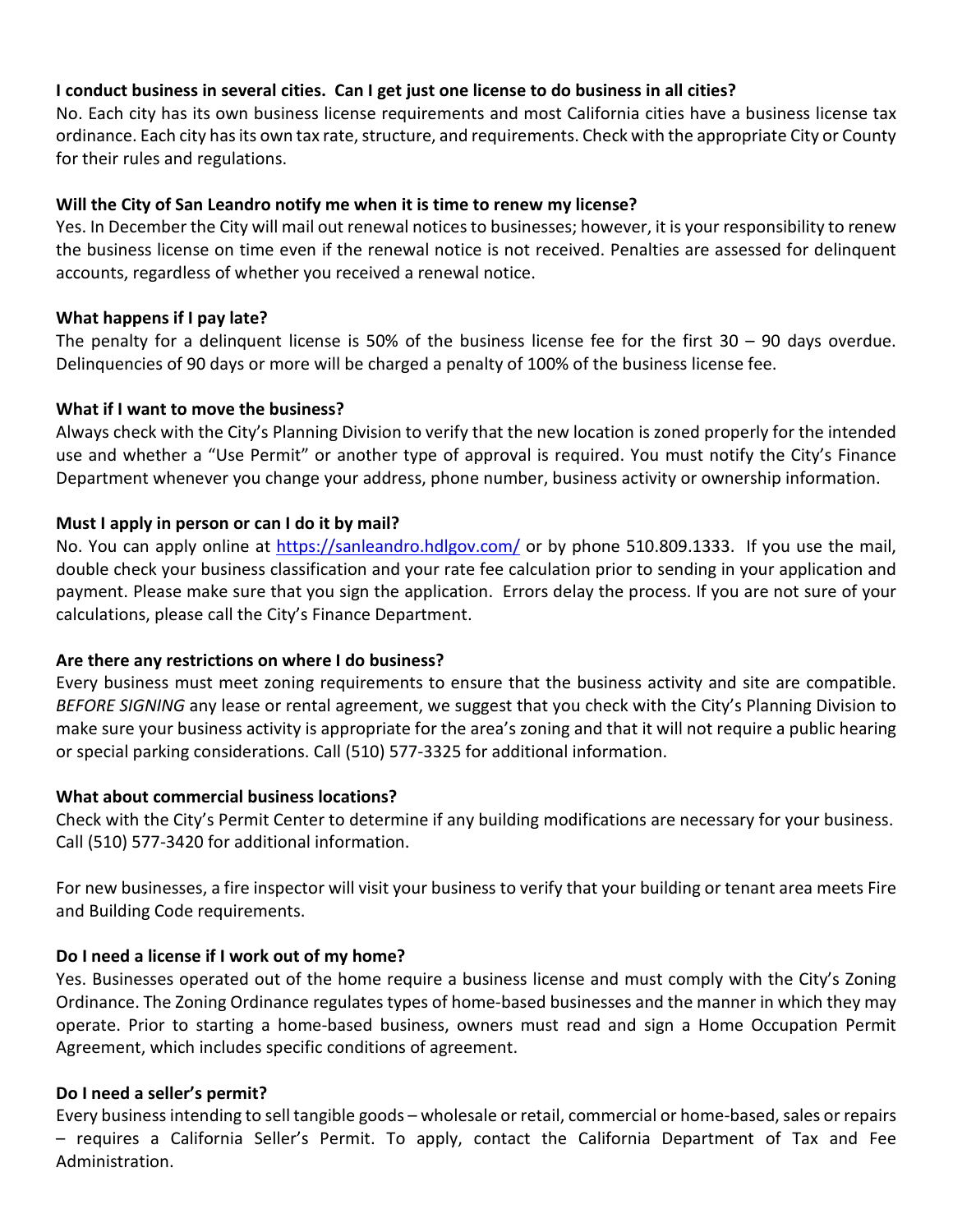## **I conduct business in several cities. Can I get just one license to do business in all cities?**

No. Each city has its own business license requirements and most California cities have a business license tax ordinance. Each city has its own tax rate, structure, and requirements. Check with the appropriate City or County for their rules and regulations.

## **Will the City of San Leandro notify me when it is time to renew my license?**

Yes. In December the City will mail out renewal notices to businesses; however, it is your responsibility to renew the business license on time even if the renewal notice is not received. Penalties are assessed for delinquent accounts, regardless of whether you received a renewal notice.

## **What happens if I pay late?**

The penalty for a delinquent license is 50% of the business license fee for the first 30 – 90 days overdue. Delinquencies of 90 days or more will be charged a penalty of 100% of the business license fee.

## **What if I want to move the business?**

Always check with the City's Planning Division to verify that the new location is zoned properly for the intended use and whether a "Use Permit" or another type of approval is required. You must notify the City's Finance Department whenever you change your address, phone number, business activity or ownership information.

## **Must I apply in person or can I do it by mail?**

No. You can apply online at<https://sanleandro.hdlgov.com/> or by phone 510.809.1333. If you use the mail, double check your business classification and your rate fee calculation prior to sending in your application and payment. Please make sure that you sign the application. Errors delay the process. If you are not sure of your calculations, please call the City's Finance Department.

## **Are there any restrictions on where I do business?**

Every business must meet zoning requirements to ensure that the business activity and site are compatible. *BEFORE SIGNING* any lease or rental agreement, we suggest that you check with the City's Planning Division to make sure your business activity is appropriate for the area's zoning and that it will not require a public hearing or special parking considerations. Call (510) 577-3325 for additional information.

## **What about commercial business locations?**

Check with the City's Permit Center to determine if any building modifications are necessary for your business. Call (510) 577-3420 for additional information.

For new businesses, a fire inspector will visit your business to verify that your building or tenant area meets Fire and Building Code requirements.

## **Do I need a license if I work out of my home?**

Yes. Businesses operated out of the home require a business license and must comply with the City's Zoning Ordinance. The Zoning Ordinance regulates types of home-based businesses and the manner in which they may operate. Prior to starting a home-based business, owners must read and sign a Home Occupation Permit Agreement, which includes specific conditions of agreement.

## **Do I need a seller's permit?**

Every business intending to sell tangible goods – wholesale or retail, commercial or home-based, sales or repairs – requires a California Seller's Permit. To apply, contact the California Department of Tax and Fee Administration.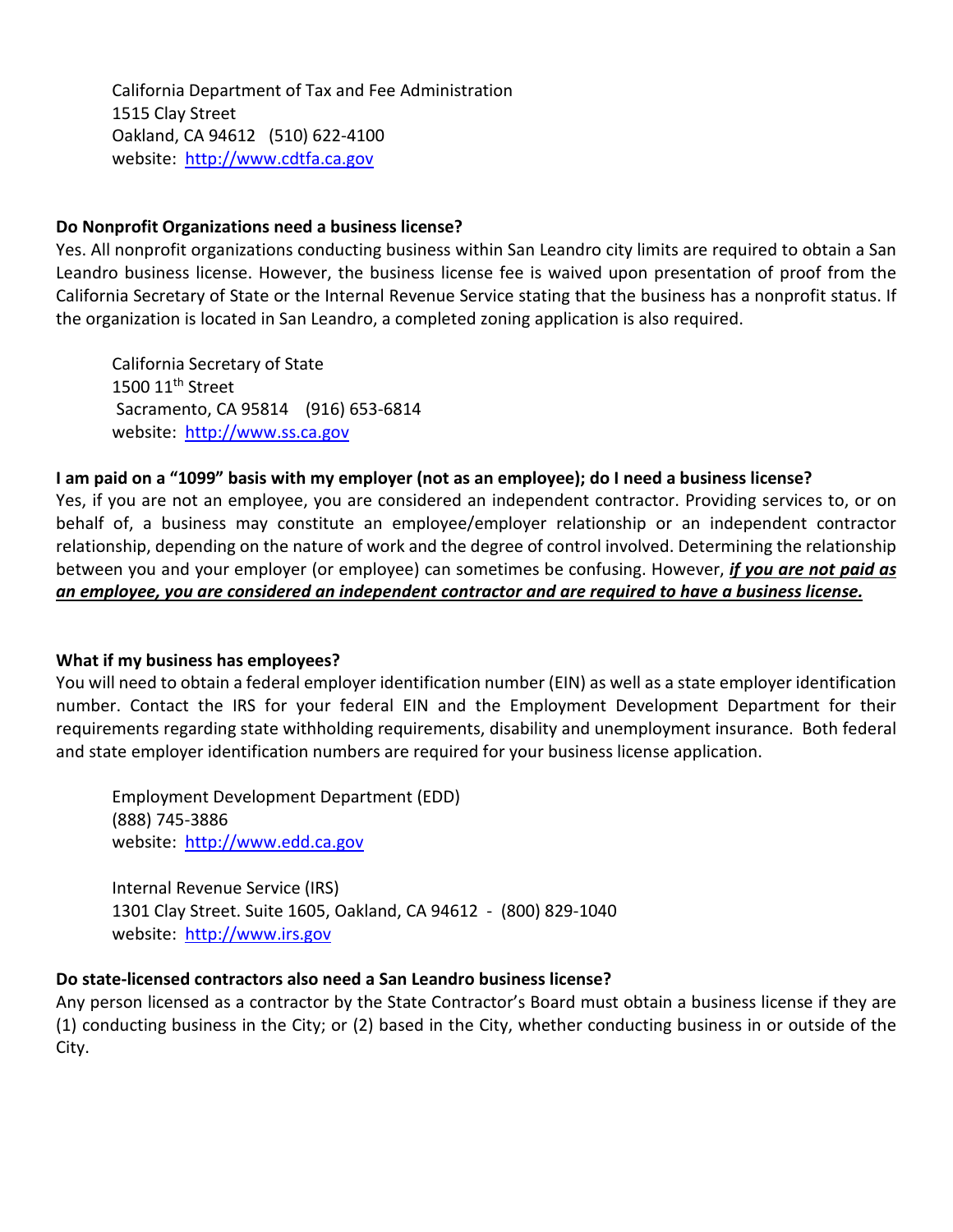California Department of Tax and Fee Administration 1515 Clay Street Oakland, CA 94612 (510) 622-4100 website: [http://www.cdtfa.ca.gov](http://www.cdtfa.ca.gov/)

## **Do Nonprofit Organizations need a business license?**

Yes. All nonprofit organizations conducting business within San Leandro city limits are required to obtain a San Leandro business license. However, the business license fee is waived upon presentation of proof from the California Secretary of State or the Internal Revenue Service stating that the business has a nonprofit status. If the organization is located in San Leandro, a completed zoning application is also required.

California Secretary of State 1500 11th Street Sacramento, CA 95814 (916) 653-6814 website: http:/[/www.ss.ca.gov](http://www.ss.ca.gov/)

## **I am paid on a "1099" basis with my employer (not as an employee); do I need a business license?**

Yes, if you are not an employee, you are considered an independent contractor. Providing services to, or on behalf of, a business may constitute an employee/employer relationship or an independent contractor relationship, depending on the nature of work and the degree of control involved. Determining the relationship between you and your employer (or employee) can sometimes be confusing. However, *if you are not paid as an employee, you are considered an independent contractor and are required to have a business license.*

## **What if my business has employees?**

You will need to obtain a federal employer identification number (EIN) as well as a state employer identification number. Contact the IRS for your federal EIN and the Employment Development Department for their requirements regarding state withholding requirements, disability and unemployment insurance. Both federal and state employer identification numbers are required for your business license application.

Employment Development Department (EDD) (888) 745-3886 website: http:/[/www.edd.ca.gov](http://www.edd.ca.gov/)

Internal Revenue Service (IRS) 1301 Clay Street. Suite 1605, Oakland, CA 94612 - (800) 829-1040 website: http:/[/www.irs.gov](http://www.irs.gov/)

## **Do state-licensed contractors also need a San Leandro business license?**

Any person licensed as a contractor by the State Contractor's Board must obtain a business license if they are (1) conducting business in the City; or (2) based in the City, whether conducting business in or outside of the City.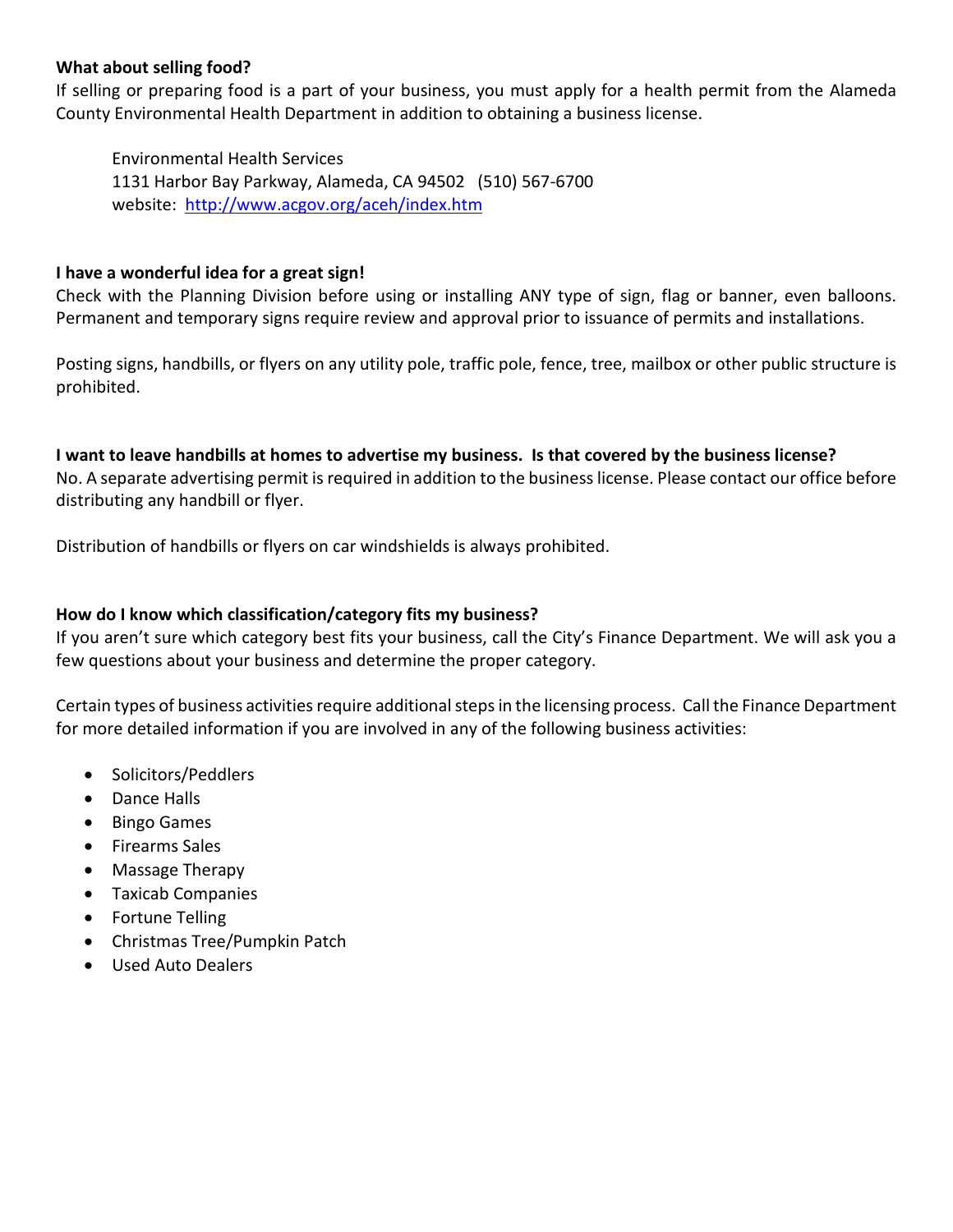## **What about selling food?**

If selling or preparing food is a part of your business, you must apply for a health permit from the Alameda County Environmental Health Department in addition to obtaining a business license.

Environmental Health Services 1131 Harbor Bay Parkway, Alameda, CA 94502 (510) 567-6700 website: <http://www.acgov.org/aceh/index.htm>

## **I have a wonderful idea for a great sign!**

Check with the Planning Division before using or installing ANY type of sign, flag or banner, even balloons. Permanent and temporary signs require review and approval prior to issuance of permits and installations.

Posting signs, handbills, or flyers on any utility pole, traffic pole, fence, tree, mailbox or other public structure is prohibited.

**I want to leave handbills at homes to advertise my business. Is that covered by the business license?** No. A separate advertising permit is required in addition to the business license. Please contact our office before distributing any handbill or flyer.

Distribution of handbills or flyers on car windshields is always prohibited.

## **How do I know which classification/category fits my business?**

If you aren't sure which category best fits your business, call the City's Finance Department. We will ask you a few questions about your business and determine the proper category.

Certain types of business activities require additional steps in the licensing process. Call the Finance Department for more detailed information if you are involved in any of the following business activities:

- Solicitors/Peddlers
- Dance Halls
- Bingo Games
- Firearms Sales
- Massage Therapy
- Taxicab Companies
- Fortune Telling
- Christmas Tree/Pumpkin Patch
- Used Auto Dealers